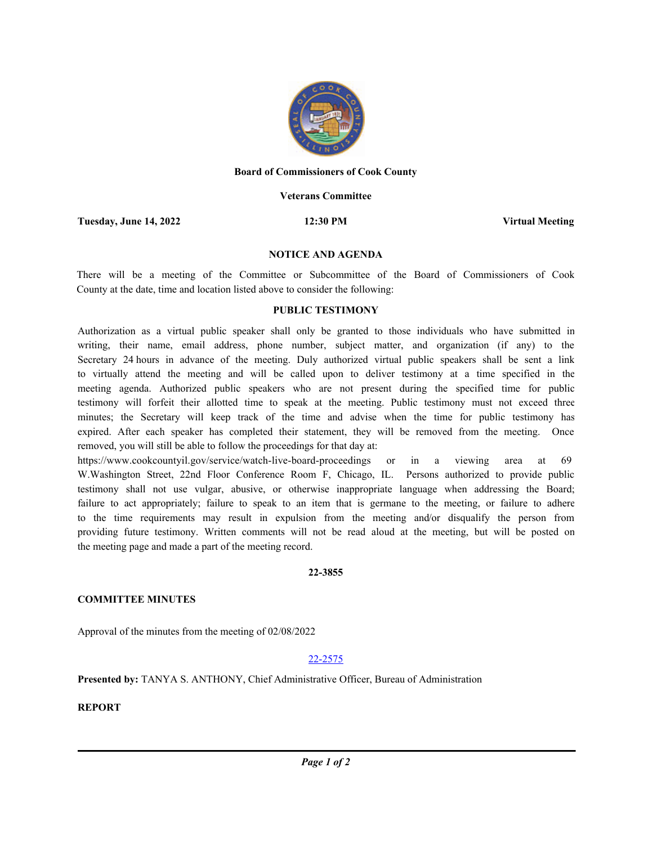

# **Board of Commissioners of Cook County**

# **Veterans Committee**

**Tuesday, June 14, 2022 12:30 PM Virtual Meeting**

# **NOTICE AND AGENDA**

There will be a meeting of the Committee or Subcommittee of the Board of Commissioners of Cook County at the date, time and location listed above to consider the following:

# **PUBLIC TESTIMONY**

Authorization as a virtual public speaker shall only be granted to those individuals who have submitted in writing, their name, email address, phone number, subject matter, and organization (if any) to the Secretary 24 hours in advance of the meeting. Duly authorized virtual public speakers shall be sent a link to virtually attend the meeting and will be called upon to deliver testimony at a time specified in the meeting agenda. Authorized public speakers who are not present during the specified time for public testimony will forfeit their allotted time to speak at the meeting. Public testimony must not exceed three minutes; the Secretary will keep track of the time and advise when the time for public testimony has expired. After each speaker has completed their statement, they will be removed from the meeting. Once removed, you will still be able to follow the proceedings for that day at:

https://www.cookcountyil.gov/service/watch-live-board-proceedings or in a viewing area at 69 W.Washington Street, 22nd Floor Conference Room F, Chicago, IL. Persons authorized to provide public testimony shall not use vulgar, abusive, or otherwise inappropriate language when addressing the Board; failure to act appropriately; failure to speak to an item that is germane to the meeting, or failure to adhere to the time requirements may result in expulsion from the meeting and/or disqualify the person from providing future testimony. Written comments will not be read aloud at the meeting, but will be posted on the meeting page and made a part of the meeting record.

### **22-3855**

# **COMMITTEE MINUTES**

Approval of the minutes from the meeting of 02/08/2022

# 22-2575

**Presented by:** TANYA S. ANTHONY, Chief Administrative Officer, Bureau of Administration

**REPORT**